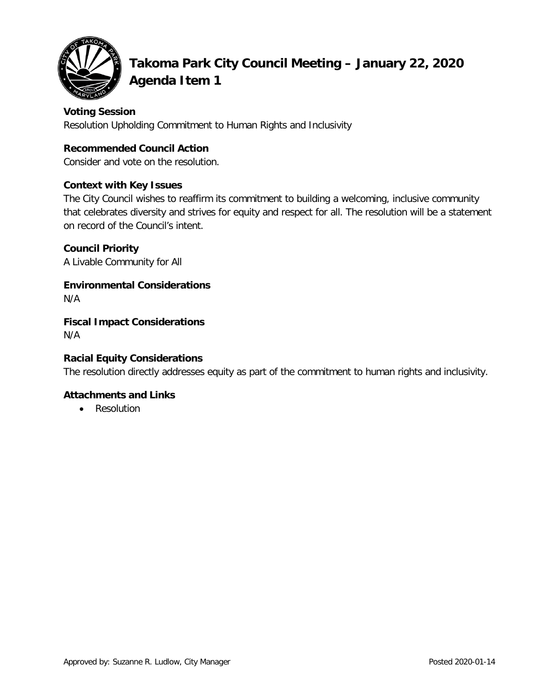

# **Takoma Park City Council Meeting – January 22, 2020 Agenda Item 1**

## **Voting Session**

Resolution Upholding Commitment to Human Rights and Inclusivity

## **Recommended Council Action**

Consider and vote on the resolution.

## **Context with Key Issues**

The City Council wishes to reaffirm its commitment to building a welcoming, inclusive community that celebrates diversity and strives for equity and respect for all. The resolution will be a statement on record of the Council's intent.

## **Council Priority**

A Livable Community for All

**Environmental Considerations** N/A

**Fiscal Impact Considerations** N/A

# **Racial Equity Considerations**

The resolution directly addresses equity as part of the commitment to human rights and inclusivity.

## **Attachments and Links**

• Resolution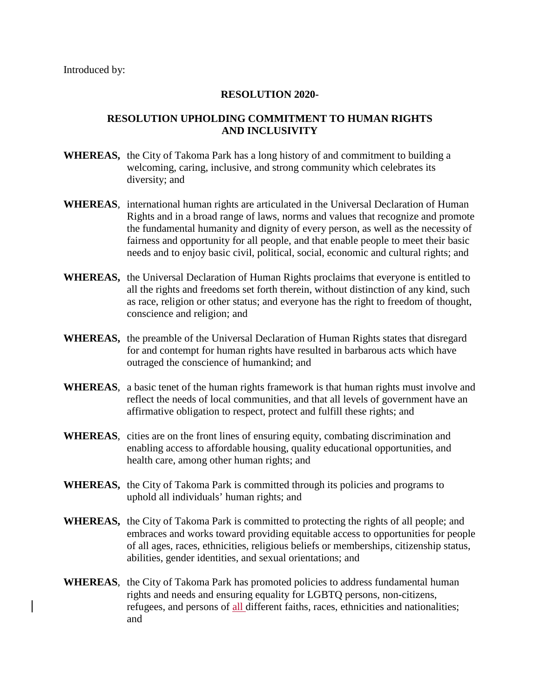#### **RESOLUTION 2020-**

#### **RESOLUTION UPHOLDING COMMITMENT TO HUMAN RIGHTS AND INCLUSIVITY**

- **WHEREAS,** the City of Takoma Park has a long history of and commitment to building a welcoming, caring, inclusive, and strong community which celebrates its diversity; and
- **WHEREAS**, international human rights are articulated in the Universal Declaration of Human Rights and in a broad range of laws, norms and values that recognize and promote the fundamental humanity and dignity of every person, as well as the necessity of fairness and opportunity for all people, and that enable people to meet their basic needs and to enjoy basic civil, political, social, economic and cultural rights; and
- **WHEREAS,** the Universal Declaration of Human Rights proclaims that everyone is entitled to all the rights and freedoms set forth therein, without distinction of any kind, such as race, religion or other status; and everyone has the right to freedom of thought, conscience and religion; and
- **WHEREAS,** the preamble of the Universal Declaration of Human Rights states that disregard for and contempt for human rights have resulted in barbarous acts which have outraged the conscience of humankind; and
- **WHEREAS**, a basic tenet of the human rights framework is that human rights must involve and reflect the needs of local communities, and that all levels of government have an affirmative obligation to respect, protect and fulfill these rights; and
- **WHEREAS**, cities are on the front lines of ensuring equity, combating discrimination and enabling access to affordable housing, quality educational opportunities, and health care, among other human rights; and
- **WHEREAS,** the City of Takoma Park is committed through its policies and programs to uphold all individuals' human rights; and
- **WHEREAS,** the City of Takoma Park is committed to protecting the rights of all people; and embraces and works toward providing equitable access to opportunities for people of all ages, races, ethnicities, religious beliefs or memberships, citizenship status, abilities, gender identities, and sexual orientations; and
- **WHEREAS**, the City of Takoma Park has promoted policies to address fundamental human rights and needs and ensuring equality for LGBTQ persons, non-citizens, refugees, and persons of all different faiths, races, ethnicities and nationalities; and